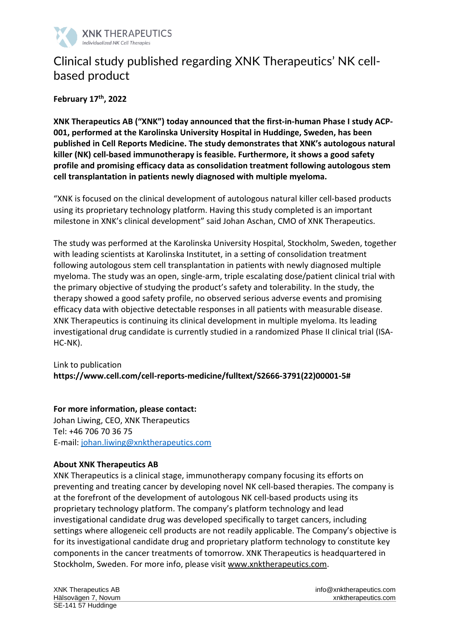

## Clinical study published regarding XNK Therapeutics' NK cellbased product

**February 17 th , 2022**

**XNK Therapeutics AB ("XNK") today announced that the first-in-human Phase I study ACP-001, performed at the Karolinska University Hospital in Huddinge, Sweden, has been published in Cell Reports Medicine. The study demonstrates that XNK's autologous natural killer (NK) cell-based immunotherapy is feasible. Furthermore, it shows a good safety profile and promising efficacy data as consolidation treatment following autologous stem cell transplantation in patients newly diagnosed with multiple myeloma.**

"XNK is focused on the clinical development of autologous natural killer cell-based products using its proprietary technology platform. Having this study completed is an important milestone in XNK's clinical development" said Johan Aschan, CMO of XNK Therapeutics.

The study was performed at the Karolinska University Hospital, Stockholm, Sweden, together with leading scientists at Karolinska Institutet, in a setting of consolidation treatment following autologous stem cell transplantation in patients with newly diagnosed multiple myeloma. The study was an open, single-arm, triple escalating dose/patient clinical trial with the primary objective of studying the product's safety and tolerability. In the study, the therapy showed a good safety profile, no observed serious adverse events and promising efficacy data with objective detectable responses in all patients with measurable disease. XNK Therapeutics is continuing its clinical development in multiple myeloma. Its leading investigational drug candidate is currently studied in a randomized Phase II clinical trial (ISA-HC-NK).

Link to publication **https://www.cell.com/cell-reports-medicine/fulltext/S2666-3791(22)00001-5#**

**For more information, please contact:** Johan Liwing, CEO, XNK Therapeutics

Tel: +46 706 70 36 75 E-mail: [johan.liwing@xnktherapeutics.com](mailto:johan.liwing@xnktherapeutics.com)

## **About XNK Therapeutics AB**

XNK Therapeutics is a clinical stage, immunotherapy company focusing its efforts on preventing and treating cancer by developing novel NK cell-based therapies. The company is at the forefront of the development of autologous NK cell-based products using its proprietary technology platform. The company's platform technology and lead investigational candidate drug was developed specifically to target cancers, including settings where allogeneic cell products are not readily applicable. The Company's objective is for its investigational candidate drug and proprietary platform technology to constitute key components in the cancer treatments of tomorrow. XNK Therapeutics is headquartered in Stockholm, Sweden. For more info, please visit [www.xnktherapeutics.com.](http://www.xnktherapeutics.com/)